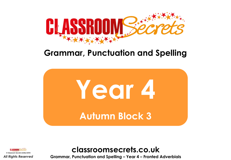

# **Grammar, Punctuation and Spelling**





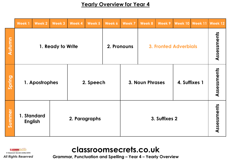## **Yearly Overview for Year 4**

|               | <b>Week1</b>                                   | <b>Week 2</b> | Week 3 | Week 4    | Week 5 | Week 6        | <b>Week 7</b>          | <b>Week 8</b>                | Week 9        | <b>Week 10</b> | <b>Week 11</b> | Week 12 |
|---------------|------------------------------------------------|---------------|--------|-----------|--------|---------------|------------------------|------------------------------|---------------|----------------|----------------|---------|
| <b>Autumn</b> | 1. Ready to Write                              |               |        |           |        | 2. Pronouns   |                        | <b>3. Fronted Adverbials</b> |               |                | Assessments    |         |
| Spring        | 1. Apostrophes                                 |               |        | 2. Speech |        |               | <b>3. Noun Phrases</b> |                              | 4. Suffixes 1 |                | Assessments    |         |
| Summer        | 1. Standard<br>2. Paragraphs<br><b>English</b> |               |        |           |        | 3. Suffixes 2 |                        |                              |               | Assessments    |                |         |



## **classroomsecrets.co.uk**

**Grammar, Punctuation and Spelling – Year 4 – Yearly Overview**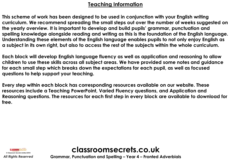## **Teaching Information**

**This scheme of work has been designed to be used in conjunction with your English writing curriculum. We recommend spreading the small steps out over the number of weeks suggested on the yearly overview. It is important to develop and build pupils' grammar, punctuation and spelling knowledge alongside reading and writing as this is the foundation of the English language. Understanding these elements of the English language enables pupils to not only enjoy English as a subject in its own right, but also to access the rest of the subjects within the whole curriculum.** 

**Each block will develop English language fluency as well as application and reasoning to allow children to use these skills across all subject areas. We have provided some notes and guidance for each small step which breaks down the expectations for each pupil, as well as focused questions to help support your teaching.** 

**Every step within each block has corresponding resources available on our website. These resources include a Teaching PowerPoint, Varied Fluency questions, and Application and Reasoning questions. The resources for each first step in every block are available to download for free.** 



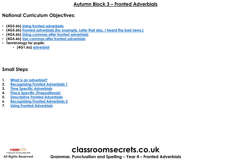### **Autumn Block 3 – Fronted Adverbials**

## **National Curriculum Objectives:**

- **(4G5.6b) [Using fronted adverbials](https://classroomsecrets.co.uk/content-domain-filter/?fwp_contentdomain=4G5.6b)**
- **(4G5.6b) [Fronted adverbials \[for example, Later that day, I heard the bad news.\]](https://classroomsecrets.co.uk/content-domain-filter/?fwp_contentdomain=4g5.6b)**
- **(4G5.6b) [Using commas after fronted adverbials](https://classroomsecrets.co.uk/content-domain-filter/?fwp_contentdomain=4g5.6b)**
- **(4G5.6b) [Use commas after fronted adverbials](https://classroomsecrets.co.uk/content-domain-filter/?fwp_contentdomain=4g5.6)**
- **Terminology for pupils:**
	- **(4G1.6a) [adverbial](https://classroomsecrets.co.uk/content-domain-filter/?fwp_contentdomain=4g1.6a)**

## **Small Steps**

- **1. [What is an adverbial?](#page-4-0)**
- **2. [Recognising Fronted Adverbials 1](#page-5-0)**
- **3. [Time Specific Adverbials](#page-6-0)**
- **4. [Place Specific \(Prepositional\)](#page-7-0)**
- **5. [Descriptive Fronted Adverbials](#page-8-0)**
- **6. [Recognising Fronted Adverbials 2](#page-9-0)**
- **7. [Using Fronted Adverbials](#page-10-0)**



# **classroomsecrets.co.uk**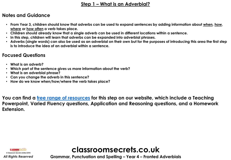## **Step 1 – What is an Adverbial?**

### <span id="page-4-0"></span>**Notes and Guidance**

- **From Year 3, children should know that adverbs can be used to expand sentences by adding information about when, how, where or how often a verb takes place.**
- **Children should already know that a single adverb can be used in different locations within a sentence.**
- **In this step, children will learn that adverbs can be expanded into adverbial phrases.**
- **Adverbs (single words) can also be used as an adverbial on their own but for the purposes of introducing this area the first step is to introduce the idea of an adverbial within a sentence.**

## **Focused Questions**

- **What is an adverb?**
- **Which part of the sentence gives us more information about the verb?**
- **What is an adverbial phrase?**
- **Can you change the adverb in this sentence?**
- **How do we know when/how/where the verb takes place?**

**You can find a [free range of resources](https://classroomsecrets.co.uk/category/gps/year-4-gps/long-term-plan-year-4-gps/autumn-block-3-fronted-adverbials/step-1-autumn-block-3-fronted-adverbials/) for this step on our website, which include a Teaching Powerpoint, Varied Fluency questions, Application and Reasoning questions, and a Homework Extension.**



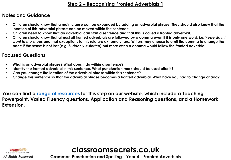## **Step 2 – Recognising Fronted Adverbials 1**

## <span id="page-5-0"></span>**Notes and Guidance**

- **Children should know that a main clause can be expanded by adding an adverbial phrase. They should also know that the location of this adverbial phrase can be moved within the sentence.**
- **Children need to know that an adverbial can start a sentence and that this is called a fronted adverbial.**
- **Children should know that almost all fronted adverbials are followed by a comma even if it is only one word, i.e.** *Yesterday, I went to the shops* **and that exceptions to this rule are extremely rare***.* **Writers may choose to omit the comma to change the pace if the sense is not lost (e.g.** *Suddenly it started)* **but more often a comma would follow the fronted adverbial.**

## **Focused Questions**

- **What is an adverbial phrase? What does it do within a sentence?**
- **Identify the fronted adverbial in this sentence. What punctuation mark should be used after it?**
- **Can you change the location of the adverbial phrase within this sentence?**
- **Change this sentence so that the adverbial phrase becomes a fronted adverbial. What have you had to change or add?**

**You can find a [range of resources](https://classroomsecrets.co.uk/category/gps/year-4-gps/long-term-plan-year-4-gps/autumn-block-3-fronted-adverbials/step-2-autumn-block-3-fronted-adverbials/) for this step on our website, which include a Teaching Powerpoint, Varied Fluency questions, Application and Reasoning questions, and a Homework Extension.**



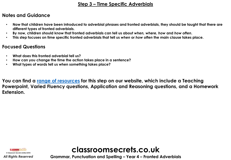#### **Step 3 – Time Specific Adverbials**

## <span id="page-6-0"></span>**Notes and Guidance**

- **Now that children have been introduced to adverbial phrases and fronted adverbials, they should be taught that there are different types of fronted adverbials.**
- **By now, children should know that fronted adverbials can tell us about** *when, where, how* **and** *how often***.**
- **This step focuses on time specific fronted adverbials that tell us** *when* **or** *how often* **the main clause takes place.**

## **Focused Questions**

- **What does this fronted adverbial tell us?**
- **How can you change the time the action takes place in a sentence?**
- **What types of words tell us when something takes place?**

**You can find a [range of resources](https://classroomsecrets.co.uk/category/gps/year-4-gps/long-term-plan-year-4-gps/autumn-block-3-fronted-adverbials/step-3-autumn-block-3-fronted-adverbials/) for this step on our website, which include a Teaching Powerpoint, Varied Fluency questions, Application and Reasoning questions, and a Homework Extension.**



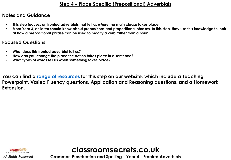## **Step 4 – Place Specific (Prepositional) Adverbials**

## <span id="page-7-0"></span>**Notes and Guidance**

- **This step focuses on fronted adverbials that tell us** *where* **the main clause takes place.**
- **From Year 3, children should know about prepositions and propositional phrases. In this step, they use this knowledge to look at how a prepositional phrase can be used to modify a verb rather than a noun.**

## **Focused Questions**

- **What does this fronted adverbial tell us?**
- **How can you change the place the action takes place in a sentence?**
- **What types of words tell us when something takes place?**

**You can find a [range of resources](https://classroomsecrets.co.uk/category/gps/year-4-gps/long-term-plan-year-4-gps/autumn-block-3-fronted-adverbials/step-4-autumn-block-3-fronted-adverbials/) for this step on our website, which include a Teaching Powerpoint, Varied Fluency questions, Application and Reasoning questions, and a Homework Extension.**



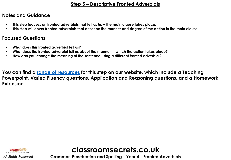## **Step 5 – Descriptive Fronted Adverbials**

### <span id="page-8-0"></span>**Notes and Guidance**

- **This step focuses on fronted adverbials that tell us** *how* **the main clause takes place.**
- **This step will cover fronted adverbials that describe the manner and degree of the action in the main clause.**

#### **Focused Questions**

- **What does this fronted adverbial tell us?**
- **What does the fronted adverbial tell us about the manner in which the action takes place?**
- **How can you change the meaning of the sentence using a different fronted adverbial?**

**You can find a [range of resources](https://classroomsecrets.co.uk/category/gps/year-4-gps/long-term-plan-year-4-gps/autumn-block-3-fronted-adverbials/step-5-autumn-block-3-fronted-adverbials/) for this step on our website, which include a Teaching Powerpoint, Varied Fluency questions, Application and Reasoning questions, and a Homework Extension.**



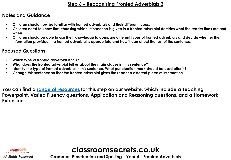## **Step 6 – Recognising Fronted Adverbials 2**

## <span id="page-9-0"></span>**Notes and Guidance**

- **Children should now be familiar with fronted adverbials and their different types.**
- **Children need to know that choosing which information is given in a fronted adverbial decides what the reader finds out and when.**
- **Children should be able to use their knowledge to compare different types of fronted adverbials and decide whether the information provided in a fronted adverbial is appropriate and how it can affect the rest of the sentence.**

## **Focused Questions**

- **Which type of fronted adverbial is this?**
- **What does the fronted adverbial tell us about the main clause in this sentence?**
- **Identify the type of fronted adverbial in this sentence. What punctuation mark should be used after it?**
- **Change this sentence so that the fronted adverbial gives the reader a different piece of information.**

**You can find a [range of resources](https://classroomsecrets.co.uk/category/gps/year-4-gps/long-term-plan-year-4-gps/autumn-block-3-fronted-adverbials/step-6-autumn-block-3-fronted-adverbials/) for this step on our website, which include a Teaching Powerpoint, Varied Fluency questions, Application and Reasoning questions, and a Homework Extension.**